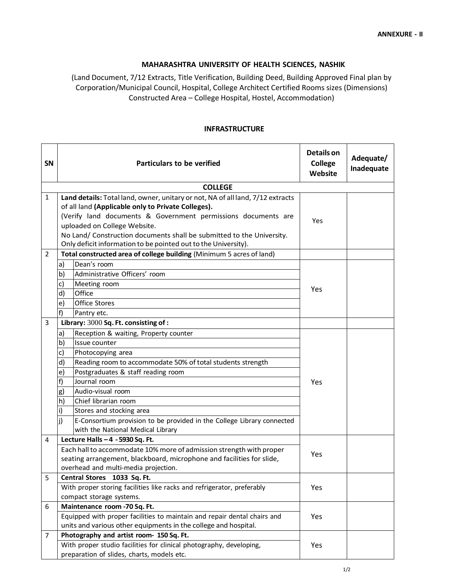## **MAHARASHTRA UNIVERSITY OF HEALTH SCIENCES, NASHIK**

(Land Document, 7/12 Extracts, Title Verification, Building Deed, Building Approved Final plan by Corporation/Municipal Council, Hospital, College Architect Certified Rooms sizes (Dimensions) Constructed Area – College Hospital, Hostel, Accommodation)

## **INFRASTRUCTURE**

| SN             | <b>Particulars to be verified</b>                                                                                                                                                                                                                                                                                                                                                | <b>Details on</b><br><b>College</b><br>Website | Adequate/<br>Inadequate |  |  |  |  |  |
|----------------|----------------------------------------------------------------------------------------------------------------------------------------------------------------------------------------------------------------------------------------------------------------------------------------------------------------------------------------------------------------------------------|------------------------------------------------|-------------------------|--|--|--|--|--|
| <b>COLLEGE</b> |                                                                                                                                                                                                                                                                                                                                                                                  |                                                |                         |  |  |  |  |  |
| $\mathbf{1}$   | Land details: Total land, owner, unitary or not, NA of all land, 7/12 extracts<br>of all land (Applicable only to Private Colleges).<br>(Verify land documents & Government permissions documents are<br>uploaded on College Website.<br>No Land/ Construction documents shall be submitted to the University.<br>Only deficit information to be pointed out to the University). | Yes                                            |                         |  |  |  |  |  |
| $\overline{2}$ | Total constructed area of college building (Minimum 5 acres of land)                                                                                                                                                                                                                                                                                                             |                                                |                         |  |  |  |  |  |
|                | Dean's room<br>a)                                                                                                                                                                                                                                                                                                                                                                |                                                |                         |  |  |  |  |  |
|                | Administrative Officers' room<br>b)                                                                                                                                                                                                                                                                                                                                              |                                                |                         |  |  |  |  |  |
|                | c)<br>Meeting room                                                                                                                                                                                                                                                                                                                                                               |                                                |                         |  |  |  |  |  |
|                | Office<br>d)                                                                                                                                                                                                                                                                                                                                                                     | Yes                                            |                         |  |  |  |  |  |
|                | Office Stores<br>e)                                                                                                                                                                                                                                                                                                                                                              |                                                |                         |  |  |  |  |  |
|                | f<br>Pantry etc.                                                                                                                                                                                                                                                                                                                                                                 |                                                |                         |  |  |  |  |  |
| 3              | Library: 3000 Sq. Ft. consisting of:                                                                                                                                                                                                                                                                                                                                             |                                                |                         |  |  |  |  |  |
|                | Reception & waiting, Property counter<br>a)                                                                                                                                                                                                                                                                                                                                      |                                                |                         |  |  |  |  |  |
|                | b)<br>Issue counter                                                                                                                                                                                                                                                                                                                                                              |                                                |                         |  |  |  |  |  |
|                | c)<br>Photocopying area                                                                                                                                                                                                                                                                                                                                                          |                                                |                         |  |  |  |  |  |
|                | d)<br>Reading room to accommodate 50% of total students strength                                                                                                                                                                                                                                                                                                                 |                                                |                         |  |  |  |  |  |
|                | Postgraduates & staff reading room<br>e)                                                                                                                                                                                                                                                                                                                                         |                                                |                         |  |  |  |  |  |
|                | f)<br>Journal room                                                                                                                                                                                                                                                                                                                                                               | Yes                                            |                         |  |  |  |  |  |
|                | Audio-visual room<br>g)                                                                                                                                                                                                                                                                                                                                                          |                                                |                         |  |  |  |  |  |
|                | Chief librarian room<br>h)                                                                                                                                                                                                                                                                                                                                                       |                                                |                         |  |  |  |  |  |
|                | $\mathsf{i}$<br>Stores and stocking area                                                                                                                                                                                                                                                                                                                                         |                                                |                         |  |  |  |  |  |
|                | j)<br>E-Consortium provision to be provided in the College Library connected                                                                                                                                                                                                                                                                                                     |                                                |                         |  |  |  |  |  |
|                | with the National Medical Library                                                                                                                                                                                                                                                                                                                                                |                                                |                         |  |  |  |  |  |
| 4              | Lecture Halls - 4 - 5930 Sq. Ft.                                                                                                                                                                                                                                                                                                                                                 |                                                |                         |  |  |  |  |  |
|                | Each hall to accommodate 10% more of admission strength with proper<br>seating arrangement, blackboard, microphone and facilities for slide,                                                                                                                                                                                                                                     | Yes                                            |                         |  |  |  |  |  |
|                | overhead and multi-media projection.                                                                                                                                                                                                                                                                                                                                             |                                                |                         |  |  |  |  |  |
| 5              | Central Stores 1033 Sq. Ft.                                                                                                                                                                                                                                                                                                                                                      |                                                |                         |  |  |  |  |  |
|                | With proper storing facilities like racks and refrigerator, preferably                                                                                                                                                                                                                                                                                                           | Yes                                            |                         |  |  |  |  |  |
|                | compact storage systems.                                                                                                                                                                                                                                                                                                                                                         |                                                |                         |  |  |  |  |  |
| 6              | Maintenance room -70 Sq. Ft.                                                                                                                                                                                                                                                                                                                                                     |                                                |                         |  |  |  |  |  |
|                | Equipped with proper facilities to maintain and repair dental chairs and                                                                                                                                                                                                                                                                                                         | Yes                                            |                         |  |  |  |  |  |
|                | units and various other equipments in the college and hospital.                                                                                                                                                                                                                                                                                                                  |                                                |                         |  |  |  |  |  |
| 7              | Photography and artist room- 150 Sq. Ft.                                                                                                                                                                                                                                                                                                                                         |                                                |                         |  |  |  |  |  |
|                | With proper studio facilities for clinical photography, developing,                                                                                                                                                                                                                                                                                                              | Yes                                            |                         |  |  |  |  |  |
|                | preparation of slides, charts, models etc.                                                                                                                                                                                                                                                                                                                                       |                                                |                         |  |  |  |  |  |